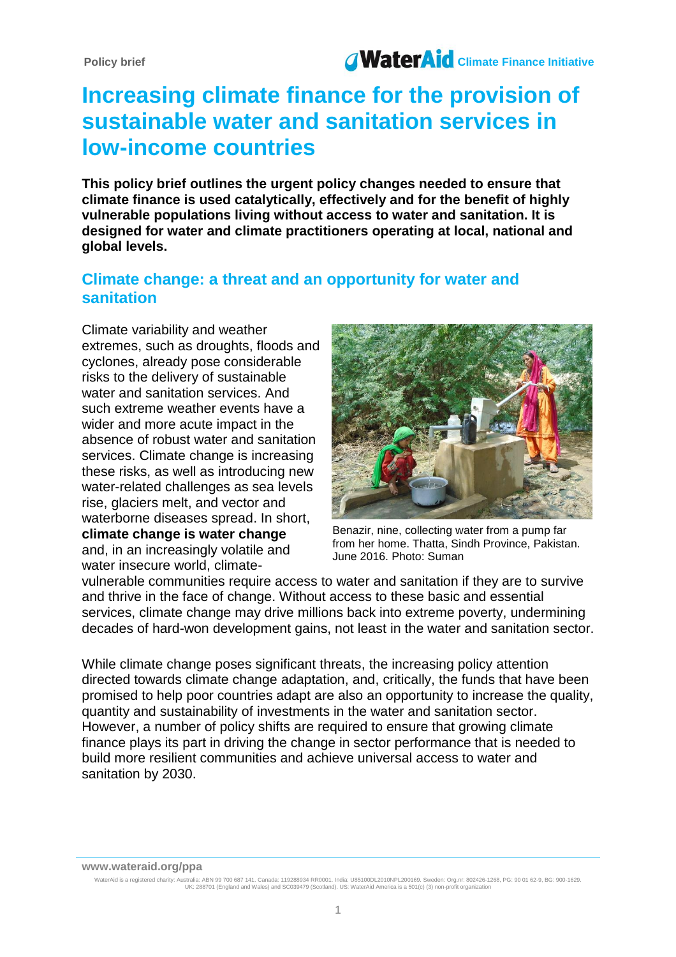# **Increasing climate finance for the provision of sustainable water and sanitation services in low-income countries**

**This policy brief outlines the urgent policy changes needed to ensure that climate finance is used catalytically, effectively and for the benefit of highly vulnerable populations living without access to water and sanitation. It is designed for water and climate practitioners operating at local, national and global levels.**

# **Climate change: a threat and an opportunity for water and sanitation**

Climate variability and weather extremes, such as droughts, floods and cyclones, already pose considerable risks to the delivery of sustainable water and sanitation services. And such extreme weather events have a wider and more acute impact in the absence of robust water and sanitation services. Climate change is increasing these risks, as well as introducing new water-related challenges as sea levels rise, glaciers melt, and vector and waterborne diseases spread. In short, **climate change is water change** and, in an increasingly volatile and water insecure world, climate-



Benazir, nine, collecting water from a pump far from her home. Thatta, Sindh Province, Pakistan. June 2016. Photo: Suman

vulnerable communities require access to water and sanitation if they are to survive and thrive in the face of change. Without access to these basic and essential services, climate change may drive millions back into extreme poverty, undermining decades of hard-won development gains, not least in the water and sanitation sector.

While climate change poses significant threats, the increasing policy attention directed towards climate change adaptation, and, critically, the funds that have been promised to help poor countries adapt are also an opportunity to increase the quality, quantity and sustainability of investments in the water and sanitation sector. However, a number of policy shifts are required to ensure that growing climate finance plays its part in driving the change in sector performance that is needed to build more resilient communities and achieve universal access to water and sanitation by 2030.

**www.wateraid.org/ppa**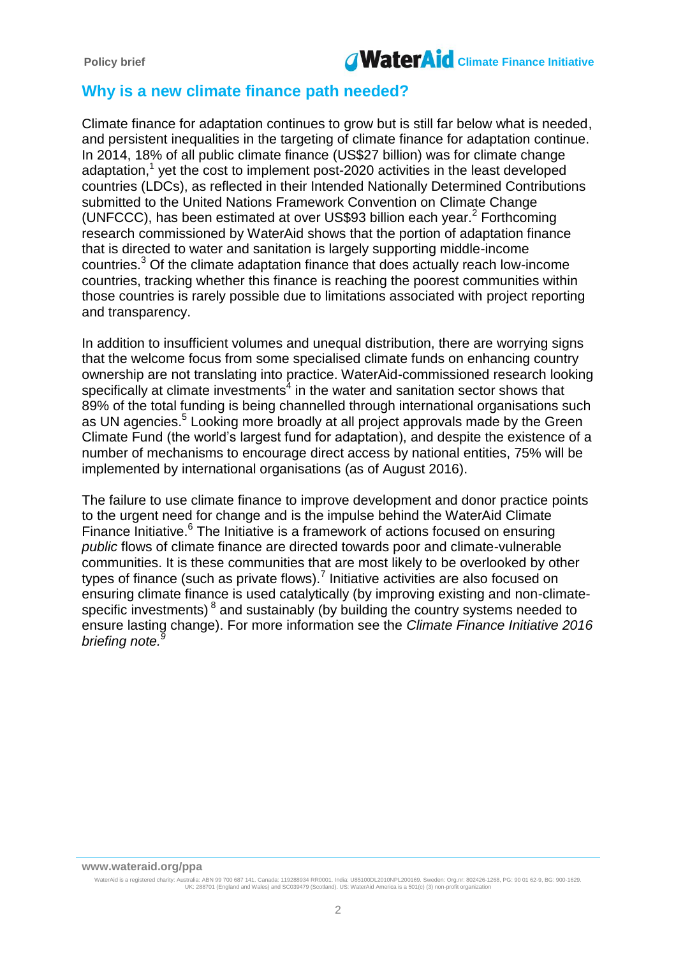

## **Why is a new climate finance path needed?**

Climate finance for adaptation continues to grow but is still far below what is needed, and persistent inequalities in the targeting of climate finance for adaptation continue. In 2014, 18% of all public climate finance (US\$27 billion) was for climate change adaptation,<sup>1</sup> yet the cost to implement post-2020 activities in the least developed countries (LDCs), as reflected in their Intended Nationally Determined Contributions submitted to the United Nations Framework Convention on Climate Change (UNFCCC), has been estimated at over US\$93 billion each year.<sup>2</sup> Forthcoming research commissioned by WaterAid shows that the portion of adaptation finance that is directed to water and sanitation is largely supporting middle-income countries. $3$  Of the climate adaptation finance that does actually reach low-income countries, tracking whether this finance is reaching the poorest communities within those countries is rarely possible due to limitations associated with project reporting and transparency.

In addition to insufficient volumes and unequal distribution, there are worrying signs that the welcome focus from some specialised climate funds on enhancing country ownership are not translating into practice. WaterAid-commissioned research looking specifically at climate investments $4$  in the water and sanitation sector shows that 89% of the total funding is being channelled through international organisations such as UN agencies.<sup>5</sup> Looking more broadly at all project approvals made by the Green Climate Fund (the world's largest fund for adaptation), and despite the existence of a number of mechanisms to encourage direct access by national entities, 75% will be implemented by international organisations (as of August 2016).

The failure to use climate finance to improve development and donor practice points to the urgent need for change and is the impulse behind the WaterAid Climate Finance Initiative.<sup>6</sup> The Initiative is a framework of actions focused on ensuring *public* flows of climate finance are directed towards poor and climate-vulnerable communities. It is these communities that are most likely to be overlooked by other types of finance (such as private flows).<sup>7</sup> Initiative activities are also focused on ensuring climate finance is used catalytically (by improving existing and non-climatespecific investments)  $^8$  and sustainably (by building the country systems needed to ensure lasting change). For more information see the *Climate Finance Initiative 2016 briefing note. 9*

**www.wateraid.org/ppa**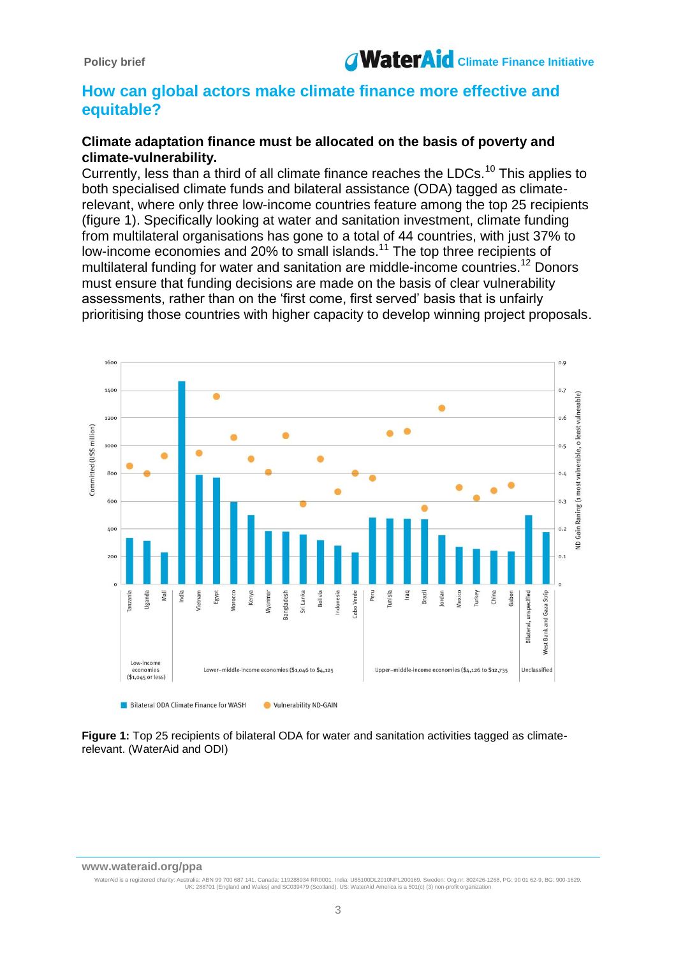

## **How can global actors make climate finance more effective and equitable?**

#### **Climate adaptation finance must be allocated on the basis of poverty and climate-vulnerability.**

Currently, less than a third of all climate finance reaches the LDCs.<sup>10</sup> This applies to both specialised climate funds and bilateral assistance (ODA) tagged as climaterelevant, where only three low-income countries feature among the top 25 recipients (figure 1). Specifically looking at water and sanitation investment, climate funding from multilateral organisations has gone to a total of 44 countries, with just 37% to low-income economies and 20% to small islands.<sup>11</sup> The top three recipients of multilateral funding for water and sanitation are middle-income countries.<sup>12</sup> Donors must ensure that funding decisions are made on the basis of clear vulnerability assessments, rather than on the 'first come, first served' basis that is unfairly prioritising those countries with higher capacity to develop winning project proposals.



**Figure 1:** Top 25 recipients of bilateral ODA for water and sanitation activities tagged as climaterelevant. (WaterAid and ODI)

#### **www.wateraid.org/ppa**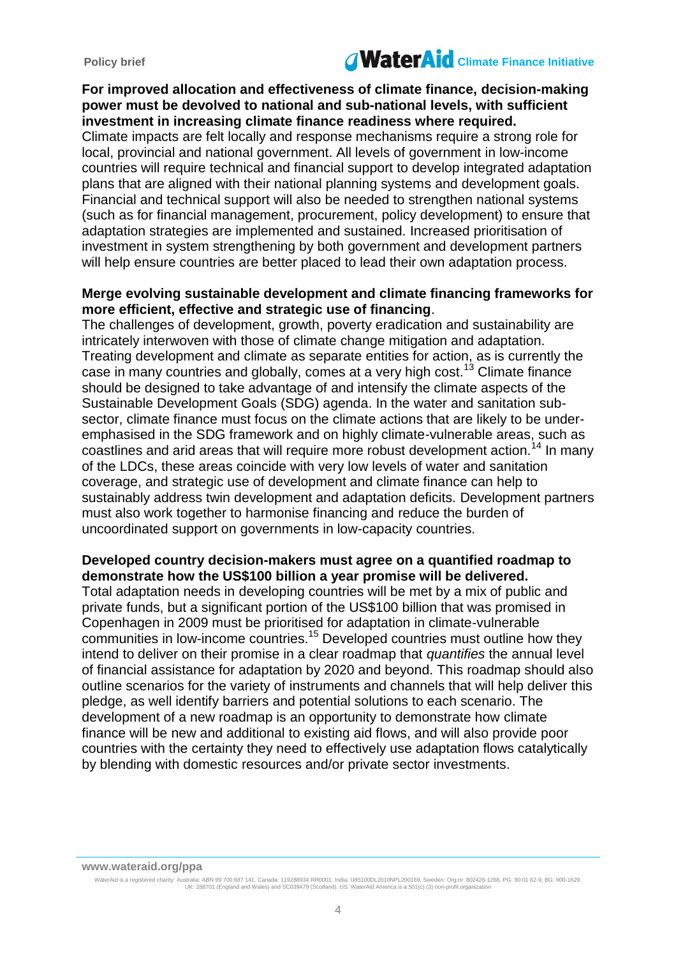# Policy brief **Climate Contract Contract Contract Contract Contract Contract Contract Contract Contract Contract Contract Contract Contract Contract Contract Contract Contract Contract Contract Contract Contract Contract Co**

### **For improved allocation and effectiveness of climate finance, decision-making power must be devolved to national and sub-national levels, with sufficient investment in increasing climate finance readiness where required.**

Climate impacts are felt locally and response mechanisms require a strong role for local, provincial and national government. All levels of government in low-income countries will require technical and financial support to develop integrated adaptation plans that are aligned with their national planning systems and development goals. Financial and technical support will also be needed to strengthen national systems (such as for financial management, procurement, policy development) to ensure that adaptation strategies are implemented and sustained. Increased prioritisation of investment in system strengthening by both government and development partners will help ensure countries are better placed to lead their own adaptation process.

#### **Merge evolving sustainable development and climate financing frameworks for more efficient, effective and strategic use of financing**.

The challenges of development, growth, poverty eradication and sustainability are intricately interwoven with those of climate change mitigation and adaptation. Treating development and climate as separate entities for action, as is currently the case in many countries and globally, comes at a very high cost.<sup>13</sup> Climate finance should be designed to take advantage of and intensify the climate aspects of the Sustainable Development Goals (SDG) agenda. In the water and sanitation subsector, climate finance must focus on the climate actions that are likely to be underemphasised in the SDG framework and on highly climate-vulnerable areas, such as coastlines and arid areas that will require more robust development action.<sup>14</sup> In many of the LDCs, these areas coincide with very low levels of water and sanitation coverage, and strategic use of development and climate finance can help to sustainably address twin development and adaptation deficits. Development partners must also work together to harmonise financing and reduce the burden of uncoordinated support on governments in low-capacity countries.

## **Developed country decision-makers must agree on a quantified roadmap to demonstrate how the US\$100 billion a year promise will be delivered.**

Total adaptation needs in developing countries will be met by a mix of public and private funds, but a significant portion of the US\$100 billion that was promised in Copenhagen in 2009 must be prioritised for adaptation in climate-vulnerable communities in low-income countries.<sup>15</sup> Developed countries must outline how they intend to deliver on their promise in a clear roadmap that *quantifies* the annual level of financial assistance for adaptation by 2020 and beyond. This roadmap should also outline scenarios for the variety of instruments and channels that will help deliver this pledge, as well identify barriers and potential solutions to each scenario. The development of a new roadmap is an opportunity to demonstrate how climate finance will be new and additional to existing aid flows, and will also provide poor countries with the certainty they need to effectively use adaptation flows catalytically by blending with domestic resources and/or private sector investments.

**www.wateraid.org/ppa**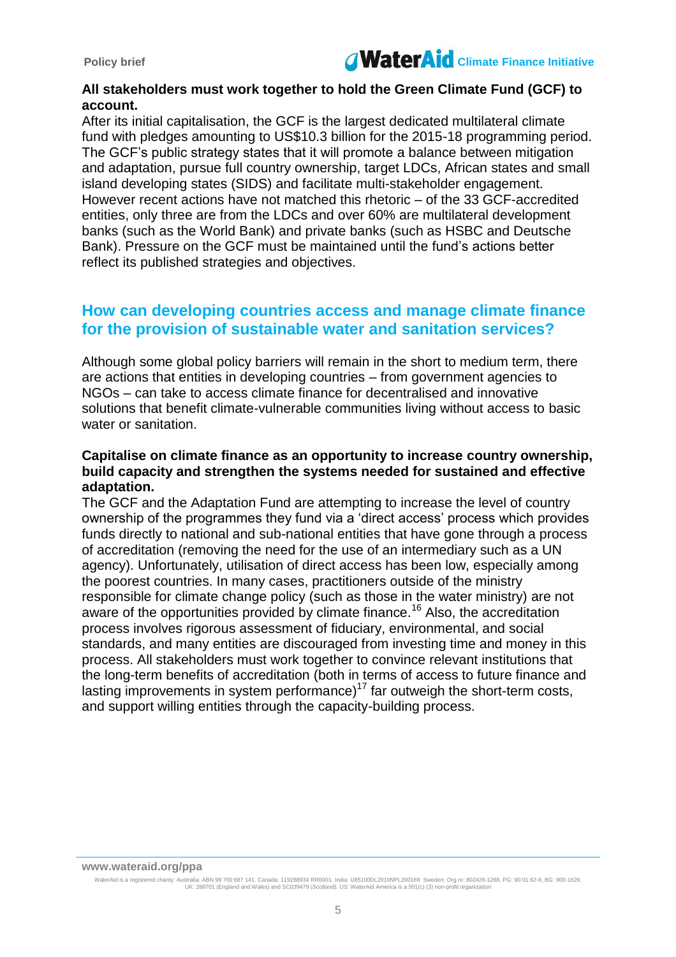

#### **All stakeholders must work together to hold the Green Climate Fund (GCF) to account.**

After its initial capitalisation, the GCF is the largest dedicated multilateral climate fund with pledges amounting to US\$10.3 billion for the 2015-18 programming period. The GCF's public strategy states that it will promote a balance between mitigation and adaptation, pursue full country ownership, target LDCs, African states and small island developing states (SIDS) and facilitate multi-stakeholder engagement. However recent actions have not matched this rhetoric – of the 33 GCF-accredited entities, only three are from the LDCs and over 60% are multilateral development banks (such as the World Bank) and private banks (such as HSBC and Deutsche Bank). Pressure on the GCF must be maintained until the fund's actions better reflect its published strategies and objectives.

## **How can developing countries access and manage climate finance for the provision of sustainable water and sanitation services?**

Although some global policy barriers will remain in the short to medium term, there are actions that entities in developing countries – from government agencies to NGOs – can take to access climate finance for decentralised and innovative solutions that benefit climate-vulnerable communities living without access to basic water or sanitation.

### **Capitalise on climate finance as an opportunity to increase country ownership, build capacity and strengthen the systems needed for sustained and effective adaptation.**

The GCF and the Adaptation Fund are attempting to increase the level of country ownership of the programmes they fund via a 'direct access' process which provides funds directly to national and sub-national entities that have gone through a process of accreditation (removing the need for the use of an intermediary such as a UN agency). Unfortunately, utilisation of direct access has been low, especially among the poorest countries. In many cases, practitioners outside of the ministry responsible for climate change policy (such as those in the water ministry) are not aware of the opportunities provided by climate finance.<sup>16</sup> Also, the accreditation process involves rigorous assessment of fiduciary, environmental, and social standards, and many entities are discouraged from investing time and money in this process. All stakeholders must work together to convince relevant institutions that the long-term benefits of accreditation (both in terms of access to future finance and lasting improvements in system performance)<sup>17</sup> far outweigh the short-term costs, and support willing entities through the capacity-building process.

**www.wateraid.org/ppa**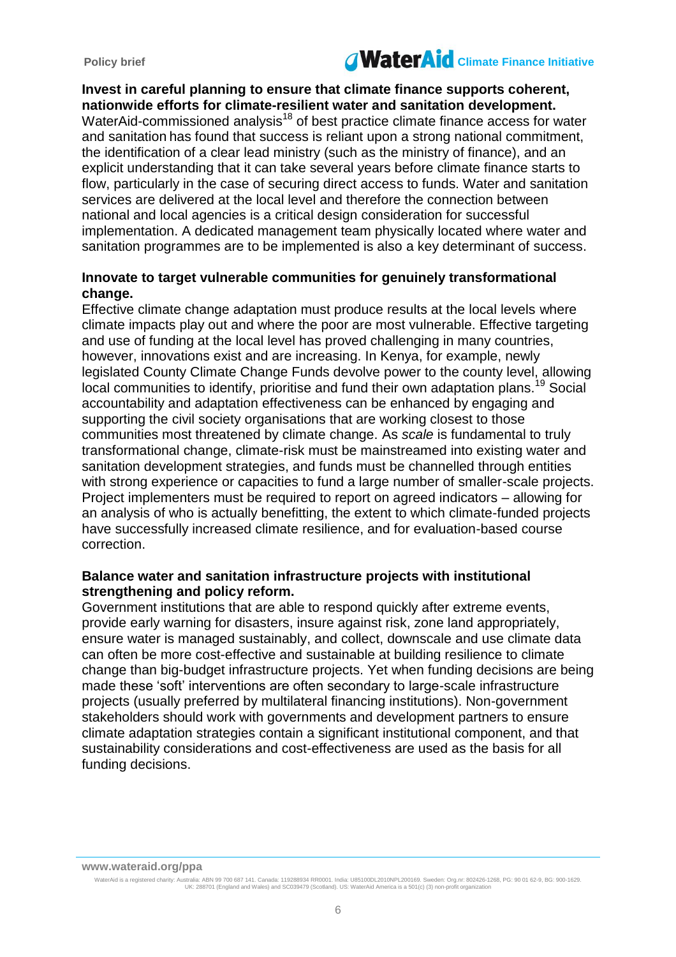# Policy brief **Climate Contract Contract Contract Contract Contract Contract Contract Contract Contract Contract Contract Contract Contract Contract Contract Contract Contract Contract Contract Contract Contract Contract Co**

### **Invest in careful planning to ensure that climate finance supports coherent, nationwide efforts for climate-resilient water and sanitation development.**

WaterAid-commissioned analysis<sup>18</sup> of best practice climate finance access for water and sanitation has found that success is reliant upon a strong national commitment, the identification of a clear lead ministry (such as the ministry of finance), and an explicit understanding that it can take several years before climate finance starts to flow, particularly in the case of securing direct access to funds. Water and sanitation services are delivered at the local level and therefore the connection between national and local agencies is a critical design consideration for successful implementation. A dedicated management team physically located where water and sanitation programmes are to be implemented is also a key determinant of success.

#### **Innovate to target vulnerable communities for genuinely transformational change.**

Effective climate change adaptation must produce results at the local levels where climate impacts play out and where the poor are most vulnerable. Effective targeting and use of funding at the local level has proved challenging in many countries, however, innovations exist and are increasing. In Kenya, for example, newly legislated County Climate Change Funds devolve power to the county level, allowing local communities to identify, prioritise and fund their own adaptation plans.<sup>19</sup> Social accountability and adaptation effectiveness can be enhanced by engaging and supporting the civil society organisations that are working closest to those communities most threatened by climate change. As *scale* is fundamental to truly transformational change, climate-risk must be mainstreamed into existing water and sanitation development strategies, and funds must be channelled through entities with strong experience or capacities to fund a large number of smaller-scale projects. Project implementers must be required to report on agreed indicators – allowing for an analysis of who is actually benefitting, the extent to which climate-funded projects have successfully increased climate resilience, and for evaluation-based course correction.

### **Balance water and sanitation infrastructure projects with institutional strengthening and policy reform.**

Government institutions that are able to respond quickly after extreme events, provide early warning for disasters, insure against risk, zone land appropriately, ensure water is managed sustainably, and collect, downscale and use climate data can often be more cost-effective and sustainable at building resilience to climate change than big-budget infrastructure projects. Yet when funding decisions are being made these 'soft' interventions are often secondary to large-scale infrastructure projects (usually preferred by multilateral financing institutions). Non-government stakeholders should work with governments and development partners to ensure climate adaptation strategies contain a significant institutional component, and that sustainability considerations and cost-effectiveness are used as the basis for all funding decisions.

**www.wateraid.org/ppa**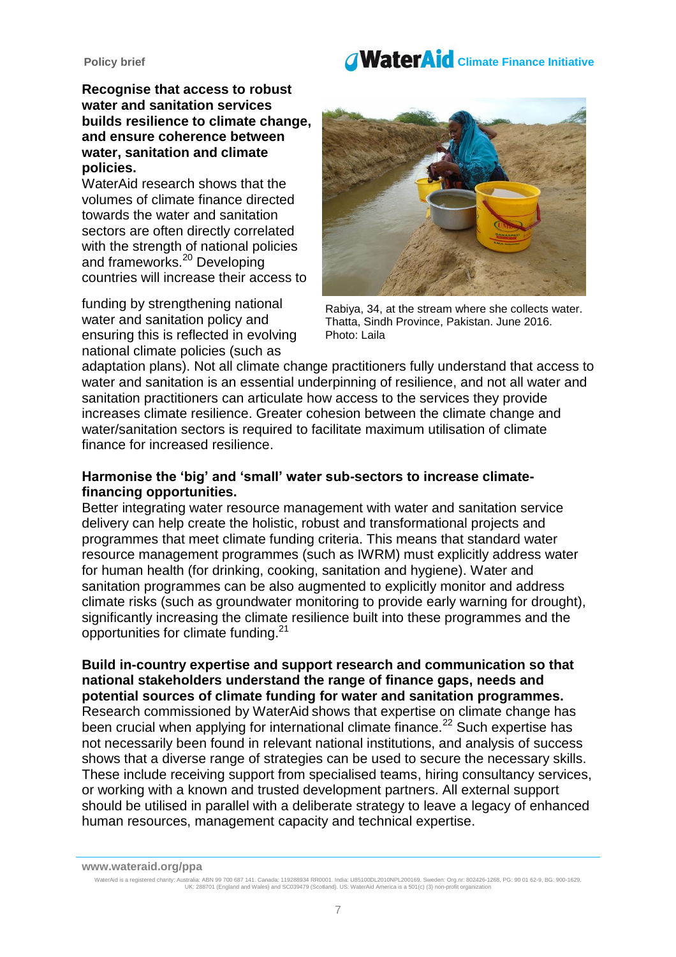# Policy brief **Climate Contract Contract Contract Contract Contract Contract Contract Contract Contract Contract Contract Contract Contract Contract Contract Contract Contract Contract Contract Contract Contract Contract Co**

**Recognise that access to robust water and sanitation services builds resilience to climate change, and ensure coherence between water, sanitation and climate policies.** 

WaterAid research shows that the volumes of climate finance directed towards the water and sanitation sectors are often directly correlated with the strength of national policies and frameworks.<sup>20</sup> Developing countries will increase their access to

funding by strengthening national water and sanitation policy and ensuring this is reflected in evolving national climate policies (such as



Rabiya, 34, at the stream where she collects water. Thatta, Sindh Province, Pakistan. June 2016. Photo: Laila

adaptation plans). Not all climate change practitioners fully understand that access to water and sanitation is an essential underpinning of resilience, and not all water and sanitation practitioners can articulate how access to the services they provide increases climate resilience. Greater cohesion between the climate change and water/sanitation sectors is required to facilitate maximum utilisation of climate finance for increased resilience.

### **Harmonise the 'big' and 'small' water sub-sectors to increase climatefinancing opportunities.**

Better integrating water resource management with water and sanitation service delivery can help create the holistic, robust and transformational projects and programmes that meet climate funding criteria. This means that standard water resource management programmes (such as IWRM) must explicitly address water for human health (for drinking, cooking, sanitation and hygiene). Water and sanitation programmes can be also augmented to explicitly monitor and address climate risks (such as groundwater monitoring to provide early warning for drought), significantly increasing the climate resilience built into these programmes and the opportunities for climate funding.<sup>21</sup>

**Build in-country expertise and support research and communication so that national stakeholders understand the range of finance gaps, needs and potential sources of climate funding for water and sanitation programmes.** 

Research commissioned by WaterAid shows that expertise on climate change has been crucial when applying for international climate finance.<sup>22</sup> Such expertise has not necessarily been found in relevant national institutions, and analysis of success shows that a diverse range of strategies can be used to secure the necessary skills. These include receiving support from specialised teams, hiring consultancy services, or working with a known and trusted development partners. All external support should be utilised in parallel with a deliberate strategy to leave a legacy of enhanced human resources, management capacity and technical expertise.

**www.wateraid.org/ppa**

WaterAid is a registered charity: Australia: ABN 99 700 687 141. Canada: 119288934 RR0001. India: U85100DL2010NPL200169. Sweden: Org.nr: 802426-1268, PG: 90 01 62-9, BG: 900-1629.<br>UK: 288701 (England and Wales) and SC03947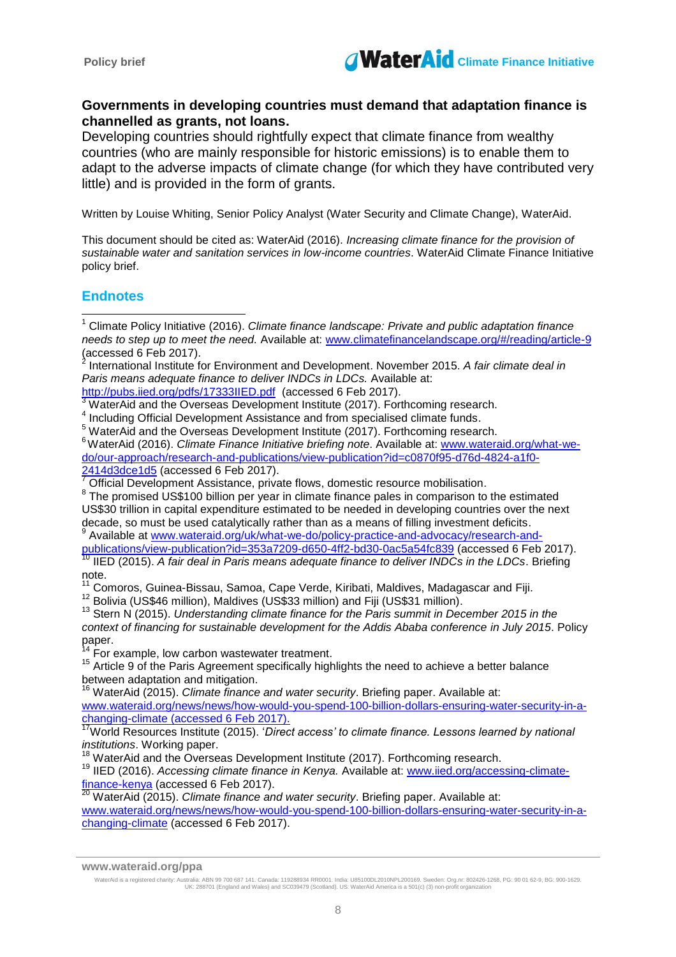

#### **Governments in developing countries must demand that adaptation finance is channelled as grants, not loans.**

Developing countries should rightfully expect that climate finance from wealthy countries (who are mainly responsible for historic emissions) is to enable them to adapt to the adverse impacts of climate change (for which they have contributed very little) and is provided in the form of grants.

Written by Louise Whiting, Senior Policy Analyst (Water Security and Climate Change), WaterAid.

This document should be cited as: WaterAid (2016). *Increasing climate finance for the provision of sustainable water and sanitation services in low-income countries*. WaterAid Climate Finance Initiative policy brief.

### **Endnotes**

 $\overline{\phantom{a}}$ 

WaterAid and the Overseas Development Institute (2017). Forthcoming research.

<sup>4</sup> Including Official Development Assistance and from specialised climate funds.

<sup>5</sup> WaterAid and the Overseas Development Institute (2017). Forthcoming research.

<sup>6</sup>WaterAid (2016). *Climate Finance Initiative briefing note*. Available at: [www.wateraid.org/what-we](http://www.wateraid.org/what-we-do/our-approach/research-and-publications/view-publication?id=c0870f95-d76d-4824-a1f0-2414d3dce1d5)[do/our-approach/research-and-publications/view-publication?id=c0870f95-d76d-4824-a1f0-](http://www.wateraid.org/what-we-do/our-approach/research-and-publications/view-publication?id=c0870f95-d76d-4824-a1f0-2414d3dce1d5) [2414d3dce1d5](http://www.wateraid.org/what-we-do/our-approach/research-and-publications/view-publication?id=c0870f95-d76d-4824-a1f0-2414d3dce1d5) (accessed 6 Feb 2017).

Official Development Assistance, private flows, domestic resource mobilisation.

 $8$  The promised US\$100 billion per year in climate finance pales in comparison to the estimated US\$30 trillion in capital expenditure estimated to be needed in developing countries over the next decade, so must be used catalytically rather than as a means of filling investment deficits.<br>9 Avoilable at www.wateraid.org/uk/what we de/policy practice and advecesy/research an

Available at [www.wateraid.org/uk/what-we-do/policy-practice-and-advocacy/research-and-](http://www.wateraid.org/uk/what-we-do/policy-practice-and-advocacy/research-and-publications/view-publication?id=353a7209-d650-4ff2-bd30-0ac5a54fc839)

[publications/view-publication?id=353a7209-d650-4ff2-bd30-0ac5a54fc839](http://www.wateraid.org/uk/what-we-do/policy-practice-and-advocacy/research-and-publications/view-publication?id=353a7209-d650-4ff2-bd30-0ac5a54fc839) (accessed 6 Feb 2017). <sup>10</sup> IIED (2015). *A fair deal in Paris means adequate finance to deliver INDCs in the LDCs*. Briefing note.

<sup>11</sup> Comoros, Guinea-Bissau, Samoa, Cape Verde, Kiribati, Maldives, Madagascar and Fiji.

<sup>12</sup> Bolivia (US\$46 million), Maldives (US\$33 million) and Fiji (US\$31 million).

<sup>13</sup> Stern N (2015). *Understanding climate finance for the Paris summit in December 2015 in the context of financing for sustainable development for the Addis Ababa conference in July 2015*. Policy paper.

 $4\overline{F}$  For example, low carbon wastewater treatment.

 $15$  Article 9 of the Paris Agreement specifically highlights the need to achieve a better balance between adaptation and mitigation.

<sup>16</sup> WaterAid (2015). *Climate finance and water security*. Briefing paper. Available at: [www.wateraid.org/news/news/how-would-you-spend-100-billion-dollars-ensuring-water-security-in-a](http://www.wateraid.org/news/news/how-would-you-spend-100-billion-dollars-ensuring-water-security-in-a-changing-climate)[changing-climate](http://www.wateraid.org/news/news/how-would-you-spend-100-billion-dollars-ensuring-water-security-in-a-changing-climate) (accessed 6 Feb 2017).

<sup>17</sup>World Resources Institute (2015). 'Direct access' to climate finance. Lessons learned by national *institutions*. Working paper.

<sup>18</sup> WaterAid and the Overseas Development Institute (2017). Forthcoming research.

<sup>19</sup> IIED (2016). *Accessing climate finance in Kenya.* Available at: [www.iied.org/accessing-climate](http://www.iied.org/accessing-climate-finance-kenya)<u>[finance-kenya](http://www.iied.org/accessing-climate-finance-kenya)</u> (accessed 6 Feb 2017).

<sup>20</sup> WaterAid (2015). *Climate finance and water security*. Briefing paper. Available at:

[www.wateraid.org/news/news/how-would-you-spend-100-billion-dollars-ensuring-water-security-in-a](http://www.wateraid.org/news/news/how-would-you-spend-100-billion-dollars-ensuring-water-security-in-a-changing-climate)[changing-climate](http://www.wateraid.org/news/news/how-would-you-spend-100-billion-dollars-ensuring-water-security-in-a-changing-climate) (accessed 6 Feb 2017).

<sup>1</sup> Climate Policy Initiative (2016). *Climate finance landscape: Private and public adaptation finance needs to step up to meet the need.* Available at: [www.climatefinancelandscape.org/#/reading/article-9](file:///C:/Users/reheald/AppData/Local/Microsoft/Windows/Temporary%20Internet%20Files/Content.Outlook/8Q140TRE/www.climatefinancelandscape.org/) (accessed 6 Feb 2017).<br><sup>2</sup> International Institute f

International Institute for Environment and Development. November 2015. *A fair climate deal in Paris means adequate finance to deliver INDCs in LDCs.* Available at:

<http://pubs.iied.org/pdfs/17333IIED.pdf> (accessed 6 Feb 2017).

**www.wateraid.org/ppa**

WaterAid is a registered charity: Australia: ABN 99 700 687 141. Canada: 119288934 RR0001. India: U85100DL2010NPL200169. Sweden: Org.nr: 802426-1268, PG: 90 01 62-9, BG: 900-1629.<br>UK: 288701 (England and Wales) and SC03947